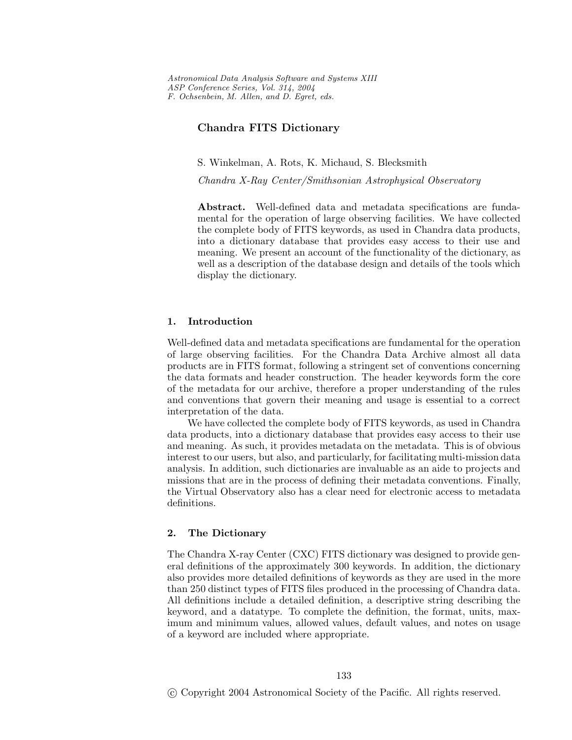*Astronomical Data Analysis Software and Systems XIII ASP Conference Series, Vol. 314, 2004 F. Ochsenbein, M. Allen, and D. Egret, eds.*

## **Chandra FITS Dictionary**

S. Winkelman, A. Rots, K. Michaud, S. Blecksmith

*Chandra X-Ray Center/Smithsonian Astrophysical Observatory*

**Abstract.** Well-defined data and metadata specifications are fundamental for the operation of large observing facilities. We have collected the complete bodyof FITS keywords, as used in Chandra data products, into a dictionary database that provides easy access to their use and meaning. We present an account of the functionalityof the dictionary, as well as a description of the database design and details of the tools which display the dictionary.

## **1. Introduction**

Well-defined data and metadata specifications are fundamental for the operation of large observing facilities. For the Chandra Data Archive almost all data products are in FITS format, following a stringent set of conventions concerning the data formats and header construction. The header keywords form the core of the metadata for our archive, therefore a proper understanding of the rules and conventions that govern their meaning and usage is essential to a correct interpretation of the data.

We have collected the complete body of FITS keywords, as used in Chandra data products, into a dictionarydatabase that provides easyaccess to their use and meaning. As such, it provides metadata on the metadata. This is of obvious interest to our users, but also, and particularly, for facilitating multi-mission data analysis. In addition, such dictionaries are invaluable as an aide to projects and missions that are in the process of defining their metadata conventions. Finally, the Virtual Observatoryalso has a clear need for electronic access to metadata definitions.

### **2. The Dictionary**

The Chandra X-rayCenter (CXC) FITS dictionarywas designed to provide general definitions of the approximately300 keywords. In addition, the dictionary also provides more detailed definitions of keywords as they are used in the more than 250 distinct types of FITS files produced in the processing of Chandra data. All definitions include a detailed definition, a descriptive string describing the keyword, and a datatype. To complete the definition, the format, units, maximum and minimum values, allowed values, default values, and notes on usage of a keyword are included where appropriate.

c Copyright 2004 Astronomical Society of the Pacific. All rights reserved.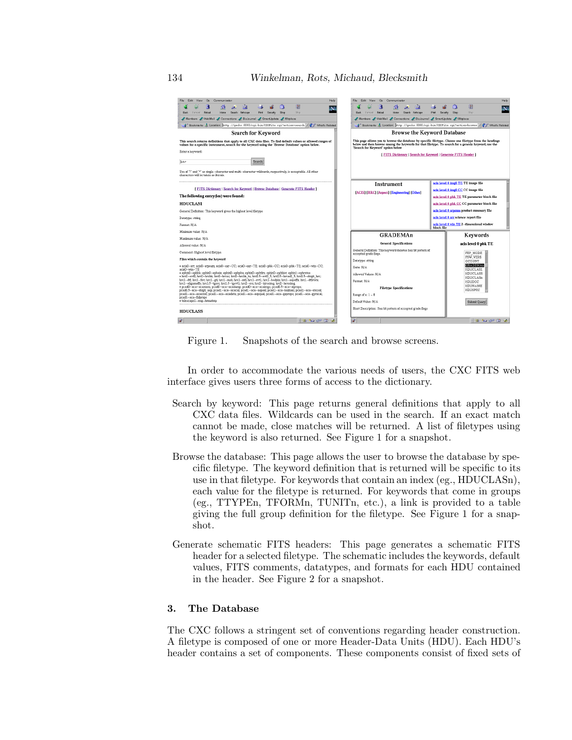

Figure 1. Snapshots of the search and browse screens.

In order to accommodate the various needs of users, the CXC FITS web interface gives users three forms of access to the dictionary.

- Search by keyword: This page returns general definitions that apply to all CXC data files. Wildcards can be used in the search. If an exact match cannot be made, close matches will be returned. A list of filetypes using the keyword is also returned. See Figure 1 for a snapshot.
- Browse the database: This page allows the user to browse the database by specific filetype. The keyword definition that is returned will be specific to its use in that filetype. For keywords that contain an index (eg., HDUCLASn), each value for the filetype is returned. For keywords that come in groups (eg., TTYPEn, TFORMn, TUNITn, etc.), a link is provided to a table giving the full group definition for the filetype. See Figure 1 for a snapshot.
- Generate schematic FITS headers: This page generates a schematic FITS header for a selected filetype. The schematic includes the keywords, default values, FITS comments, datatypes, and formats for each HDU contained in the header. See Figure 2 for a snapshot.

#### **3. The Database**

The CXC follows a stringent set of conventions regarding header construction. A filetype is composed of one or more Header-Data Units (HDU). Each HDU's header contains a set of components. These components consist of fixed sets of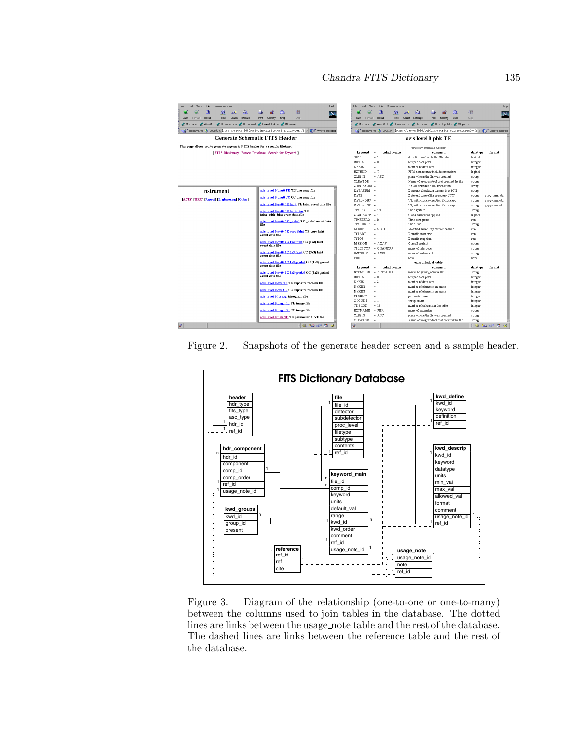| Edit<br>File<br>Go<br>Communicator<br>View.                                     | Help                                                                                             | <b>File</b><br>Edit        | View<br>Go          | Communicator  |                                                                                              |                                                                                                  |                    | Help       |  |
|---------------------------------------------------------------------------------|--------------------------------------------------------------------------------------------------|----------------------------|---------------------|---------------|----------------------------------------------------------------------------------------------|--------------------------------------------------------------------------------------------------|--------------------|------------|--|
| 勯<br>4.<br>À.<br>Reload<br>Search Netscape<br>Forward<br>Home<br>Back           | ै।<br>灌<br>N<br>Stro<br>Print<br>Security.<br>Shop                                               | Back                       | 7<br>Forward Relead | Home          | 卣<br>Search Netscape                                                                         | 商<br>Print<br>Security<br>Shop                                                                   | 廳<br>S02           | N          |  |
|                                                                                 |                                                                                                  |                            |                     |               |                                                                                              |                                                                                                  |                    |            |  |
| Members WebMail Connections BizJournal SmartLipdate Mikiplace                   |                                                                                                  |                            |                     |               |                                                                                              | Members WebMail Connections / BizJournal / SmartUpdate / Mktplace                                |                    |            |  |
|                                                                                 | & Bookmarks & Location: http://qecko:8080/cqi-bin/CXCFits.cqi?action=qen fi / C J What's Related |                            |                     |               |                                                                                              | & Bookmarks & Location: http://gecko:8080/cqi-bin/0XCFits.cqi?action=nake h / ( ) What's Related |                    |            |  |
| <b>Generate Schematic FITS Header</b>                                           |                                                                                                  |                            |                     |               |                                                                                              | acis level 0 pbk TE                                                                              |                    |            |  |
| This page allows you to generate a generic FITS header for a specific filetype. |                                                                                                  |                            |                     |               |                                                                                              | primary aux null header                                                                          |                    |            |  |
| <b>I FITS Dictionary   Browse Database   Search for Keyword 1</b>               |                                                                                                  | kevword                    | ×.                  | default value |                                                                                              | comment                                                                                          | datatype           | format     |  |
|                                                                                 |                                                                                                  | SIMPLE                     | $= T$               |               |                                                                                              | does file conform to the Standard                                                                | logical            |            |  |
|                                                                                 |                                                                                                  | BITPIX                     | $-8$                |               | bits per data pixel                                                                          |                                                                                                  | integer            |            |  |
|                                                                                 |                                                                                                  | NAXIS                      | ×.                  |               | number of data axes                                                                          |                                                                                                  | integer            |            |  |
|                                                                                 | <b>EXTEND</b>                                                                                    | $= T$<br>ORIGIN<br>$-$ ASC |                     |               | FITS dataset may include extensions<br>logical<br>place where the file was created<br>string |                                                                                                  |                    |            |  |
|                                                                                 |                                                                                                  |                            |                     |               |                                                                                              |                                                                                                  |                    |            |  |
|                                                                                 |                                                                                                  | CREATOR<br>- 44            |                     |               | Name of program/tool that created the file                                                   | string                                                                                           |                    |            |  |
|                                                                                 |                                                                                                  | CHECKSUM =                 |                     |               |                                                                                              | ASCII encoded HDU checksum                                                                       | string             |            |  |
| Instrument                                                                      | acis level 0 bias0 TE TE bias map file                                                           | DATASUM -                  |                     |               |                                                                                              | Data unit checksum written in ASCII                                                              | string             |            |  |
| [ACIS] [HRC] [Aspect] [Engineering] [Other]                                     | acis level 0 bias0 CC CC bias map file                                                           | DATE                       | $\sim$              |               |                                                                                              | Date and time of file creation (UTC)                                                             | string             | yyyy-mm-dd |  |
|                                                                                 |                                                                                                  | DATE-OBS                   | ٠                   |               |                                                                                              | TT, with clock correction if clockapp                                                            | string             | yyyy-mm-dd |  |
|                                                                                 | acis level 0 evt0 TE faint TE faint event data file                                              | DATE-END                   | ٠                   |               |                                                                                              | TT, with clock correction if clockapp                                                            | string             | yyyy-mm-dd |  |
|                                                                                 | acis level 0 evt0 TE faint bias TE                                                               | TIMESYS                    | $= T T$             |               | Time system                                                                                  |                                                                                                  | string             |            |  |
|                                                                                 | faint-with-bias event data file                                                                  | $CLOCKAPP = T$             |                     |               | Clock correction applied.                                                                    |                                                                                                  | logical            |            |  |
|                                                                                 | acis level 0 evt0 TE graded TE graded event data<br>file                                         | TIMEZERO                   | $-0$                |               | Time zero point                                                                              |                                                                                                  | real               |            |  |
|                                                                                 |                                                                                                  | TIMEUNIT                   | $-8$                |               | Time unit                                                                                    |                                                                                                  | string             |            |  |
|                                                                                 | acis level 0 evt0 TE very faint TE very faint<br>event data file                                 | MJDREF                     | $= 50814$           |               |                                                                                              | Modified Julian Day reference time                                                               | real               |            |  |
|                                                                                 |                                                                                                  | <b>TSTART</b>              | ٠                   |               | Data file start time.                                                                        |                                                                                                  | real               |            |  |
|                                                                                 | acis level 0 evt0 CC 1x3 faint CC (1x3) faint                                                    | TSTOP                      | ٠                   |               | Data file stop time                                                                          |                                                                                                  | real               |            |  |
|                                                                                 | event data file                                                                                  | MISSION                    | $=$ $AXAF$          |               | Overall project                                                                              |                                                                                                  | string             |            |  |
|                                                                                 | acis level 0 evt0 CC 3x3 faint CC (3x3) faint                                                    | TELESCOP                   | - CHANDRA           |               | name of telescope                                                                            |                                                                                                  | string             |            |  |
|                                                                                 | event data file                                                                                  | INSTRUME = ACIS            |                     |               | name of instrument                                                                           |                                                                                                  | string             |            |  |
|                                                                                 | acis level 0 evt0 CC 1x3 graded CC (1x3) graded                                                  |                            | END<br>÷            |               |                                                                                              | none<br>extn principal table                                                                     |                    | none       |  |
|                                                                                 | event data file                                                                                  | keyword                    |                     | default value |                                                                                              | comment                                                                                          |                    | format     |  |
|                                                                                 | acis level 0 evt0 CC 3x3 graded CC (3x3) graded<br>event data file                               | XTENSION                   | - BINTABLE          |               |                                                                                              | marks beginning of new HDU                                                                       | datatype<br>string |            |  |
|                                                                                 |                                                                                                  | <b>BITPIX</b>              | $-8$                |               | bits per data pixel                                                                          |                                                                                                  | integer            |            |  |
|                                                                                 |                                                                                                  | <b>NAXIS</b>               | $-2$                |               | number of data axes                                                                          |                                                                                                  | integer            |            |  |
|                                                                                 | acis level 0 exr TE TE exposure records file                                                     | NAXIS1                     | $\alpha$            |               |                                                                                              | number of elements on axis n                                                                     | integer            |            |  |
|                                                                                 | acis level 0 exr CC CC exposure records file                                                     | NAXIS2                     |                     |               | number of elements on axis n                                                                 |                                                                                                  | integer            |            |  |
|                                                                                 | acis level 0 histogr histogram file                                                              | PCOUNT                     | ٠                   |               | parameter count                                                                              |                                                                                                  | integer            |            |  |
|                                                                                 |                                                                                                  | GCOUNT                     | $= 1$               |               | group count                                                                                  |                                                                                                  | integer            |            |  |
|                                                                                 | acis level 0 img0 TE TE image file                                                               | TFIELDS                    | $-13$               |               |                                                                                              | number of columns in the table.                                                                  | integer            |            |  |
|                                                                                 | acis level 0 img0 CC CC image file                                                               | EXTNAME - PBK              |                     |               | name of extension                                                                            |                                                                                                  | string             |            |  |
|                                                                                 |                                                                                                  | ORIGIN                     | $= ASC$             |               |                                                                                              | place where the file was created                                                                 | string             |            |  |
|                                                                                 | acis level 0 pbk TE TE parameter block file                                                      | CREATOR                    | $\sim$              |               |                                                                                              | Name of program/tool that created the file                                                       | string             |            |  |
| is.                                                                             | há"                                                                                              |                            |                     |               |                                                                                              |                                                                                                  | 1964 CD OP DO 12   |            |  |
|                                                                                 | 1 # 2 9 9 9 2                                                                                    |                            |                     |               |                                                                                              |                                                                                                  |                    |            |  |

Figure 2. Snapshots of the generate header screen and a sample header.



Figure 3. Diagram of the relationship (one-to-one or one-to-many) between the columns used to join tables in the database. The dotted lines are links between the usage note table and the rest of the database. The dashed lines are links between the reference table and the rest of the database.